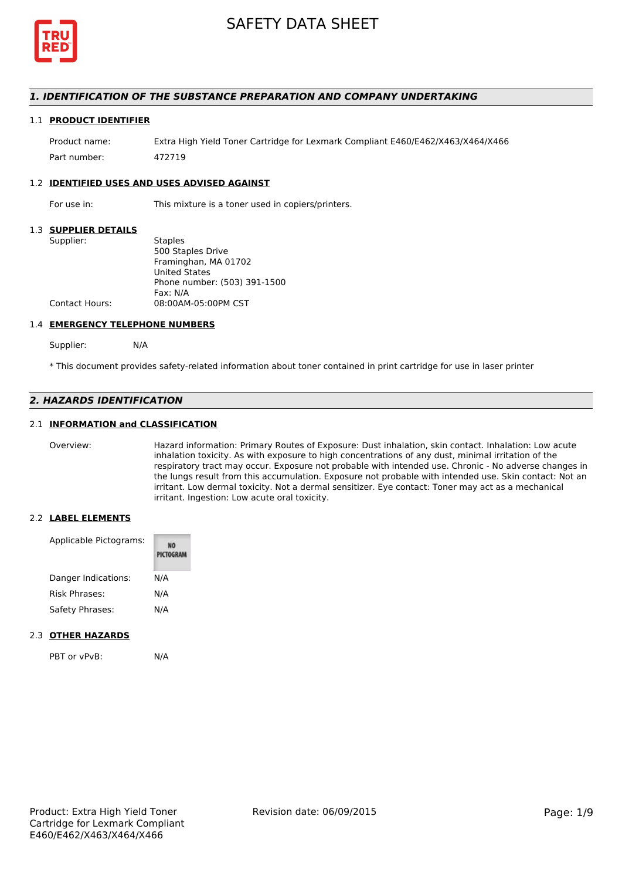

## *1. IDENTIFICATION OF THE SUBSTANCE PREPARATION AND COMPANY UNDERTAKING*

#### 1.1 **PRODUCT IDENTIFIER**

Product name: Extra High Yield Toner Cartridge for Lexmark Compliant E460/E462/X463/X464/X466 Part number: 472719

#### 1.2 **IDENTIFIED USES AND USES ADVISED AGAINST**

For use in: This mixture is a toner used in copiers/printers.

#### 1.3 **SUPPLIER DETAILS**

| Supplier:      | <b>Staples</b>               |
|----------------|------------------------------|
|                | 500 Staples Drive            |
|                | Framinghan, MA 01702         |
|                | <b>United States</b>         |
|                | Phone number: (503) 391-1500 |
|                | Fax: N/A                     |
| Contact Hours: | 08:00AM-05:00PM CST          |
|                |                              |

#### 1.4 **EMERGENCY TELEPHONE NUMBERS**

Supplier: N/A

\* This document provides safety-related information about toner contained in print cartridge for use in laser printer

# *2. HAZARDS IDENTIFICATION*

## 2.1 **INFORMATION and CLASSIFICATION**

Overview: Hazard information: Primary Routes of Exposure: Dust inhalation, skin contact. Inhalation: Low acute inhalation toxicity. As with exposure to high concentrations of any dust, minimal irritation of the respiratory tract may occur. Exposure not probable with intended use. Chronic - No adverse changes in the lungs result from this accumulation. Exposure not probable with intended use. Skin contact: Not an irritant. Low dermal toxicity. Not a dermal sensitizer. Eye contact: Toner may act as a mechanical irritant. Ingestion: Low acute oral toxicity.

#### 2.2 **LABEL ELEMENTS**

| Applicable Pictograms: | PICTOGRAM |
|------------------------|-----------|
| Danger Indications:    | N/A       |
| <b>Risk Phrases:</b>   | N/A       |
| Safety Phrases:        | N/A       |

#### 2.3 **OTHER HAZARDS**

PBT or vPvB: N/A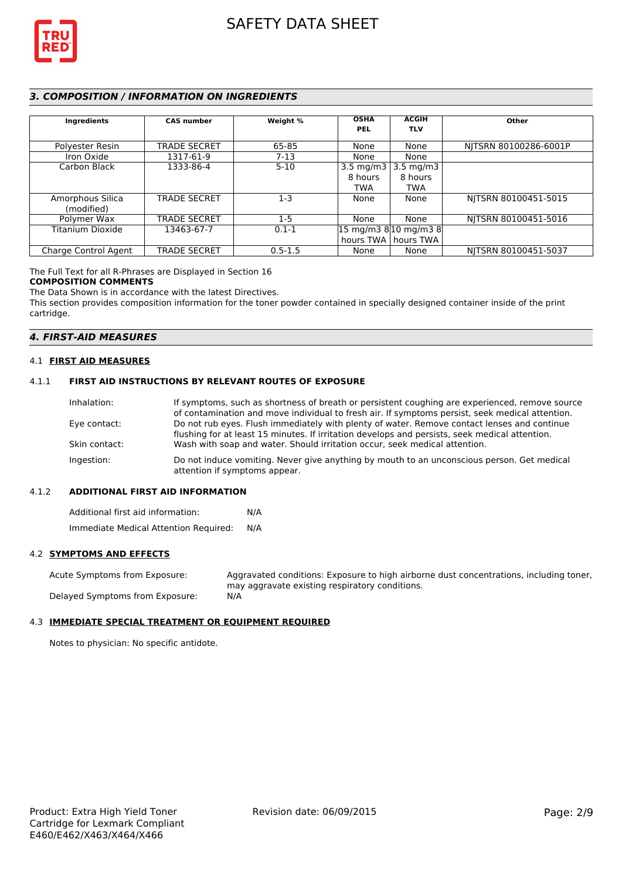

# *3. COMPOSITION / INFORMATION ON INGREDIENTS*

| Ingredients          | <b>CAS number</b>   | Weight %    | <b>OSHA</b><br><b>PEL</b> | <b>ACGIH</b><br><b>TLV</b>                                | Other                 |
|----------------------|---------------------|-------------|---------------------------|-----------------------------------------------------------|-----------------------|
| Polyester Resin      | <b>TRADE SECRET</b> | 65-85       | None                      | None                                                      | NITSRN 80100286-6001P |
| Iron Oxide           | 1317-61-9           | $7-13$      | None                      | None                                                      |                       |
| Carbon Black         | 1333-86-4           | $5 - 10$    | 3.5 mg/m $3$              | $3.5 \text{ mg/m}$                                        |                       |
|                      |                     |             | 8 hours                   | 8 hours                                                   |                       |
|                      |                     |             | <b>TWA</b>                | <b>TWA</b>                                                |                       |
| Amorphous Silica     | <b>TRADE SECRET</b> | $1-3$       | None                      | None                                                      | NITSRN 80100451-5015  |
| (modified)           |                     |             |                           |                                                           |                       |
| Polymer Wax          | <b>TRADE SECRET</b> | $1 - 5$     | None                      | None                                                      | NITSRN 80100451-5016  |
| Titanium Dioxide     | 13463-67-7          | $0.1 - 1$   |                           | $ 15 \text{ mg/m}3 \text{ g} 10 \text{ mg/m}3 \text{ g} $ |                       |
|                      |                     |             |                           | hours TWA   hours TWA                                     |                       |
| Charge Control Agent | <b>TRADE SECRET</b> | $0.5 - 1.5$ | None                      | None                                                      | NITSRN 80100451-5037  |

The Full Text for all R-Phrases are Displayed in Section 16

#### **COMPOSITION COMMENTS**

The Data Shown is in accordance with the latest Directives.

This section provides composition information for the toner powder contained in specially designed container inside of the print cartridge.

### *4. FIRST-AID MEASURES*

#### 4.1 **FIRST AID MEASURES**

#### 4.1.1 **FIRST AID INSTRUCTIONS BY RELEVANT ROUTES OF EXPOSURE**

| If symptoms, such as shortness of breath or persistent coughing are experienced, remove source                              |
|-----------------------------------------------------------------------------------------------------------------------------|
| of contamination and move individual to fresh air. If symptoms persist, seek medical attention.                             |
| Do not rub eyes. Flush immediately with plenty of water. Remove contact lenses and continue                                 |
| flushing for at least 15 minutes. If irritation develops and persists, seek medical attention.                              |
| Wash with soap and water. Should irritation occur, seek medical attention.                                                  |
| Do not induce vomiting. Never give anything by mouth to an unconscious person. Get medical<br>attention if symptoms appear. |
|                                                                                                                             |

#### 4.1.2 **ADDITIONAL FIRST AID INFORMATION**

Additional first aid information: N/A Immediate Medical Attention Required: N/A

### 4.2 **SYMPTOMS AND EFFECTS**

Acute Symptoms from Exposure: Aggravated conditions: Exposure to high airborne dust concentrations, including toner, may aggravate existing respiratory conditions. Delayed Symptoms from Exposure: N/A

# 4.3 **IMMEDIATE SPECIAL TREATMENT OR EQUIPMENT REQUIRED**

Notes to physician: No specific antidote.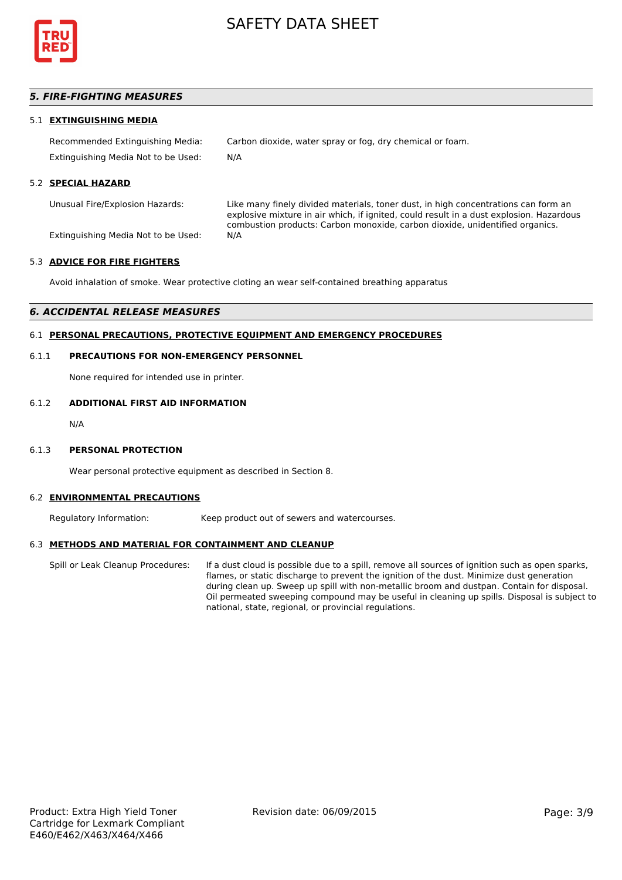

# *5. FIRE-FIGHTING MEASURES*

#### 5.1 **EXTINGUISHING MEDIA**

Recommended Extinguishing Media: Carbon dioxide, water spray or fog, dry chemical or foam. Extinguishing Media Not to be Used: N/A

# 5.2 **SPECIAL HAZARD**

Unusual Fire/Explosion Hazards: Like many finely divided materials, toner dust, in high concentrations can form an explosive mixture in air which, if ignited, could result in a dust explosion. Hazardous combustion products: Carbon monoxide, carbon dioxide, unidentified organics.

Extinguishing Media Not to be Used: N/A

#### 5.3 **ADVICE FOR FIRE FIGHTERS**

Avoid inhalation of smoke. Wear protective cloting an wear self-contained breathing apparatus

#### *6. ACCIDENTAL RELEASE MEASURES*

## 6.1 **PERSONAL PRECAUTIONS, PROTECTIVE EQUIPMENT AND EMERGENCY PROCEDURES**

#### 6.1.1 **PRECAUTIONS FOR NON-EMERGENCY PERSONNEL**

None required for intended use in printer.

## 6.1.2 **ADDITIONAL FIRST AID INFORMATION**

N/A

#### 6.1.3 **PERSONAL PROTECTION**

Wear personal protective equipment as described in Section 8.

#### 6.2 **ENVIRONMENTAL PRECAUTIONS**

Regulatory Information: Keep product out of sewers and watercourses.

#### 6.3 **METHODS AND MATERIAL FOR CONTAINMENT AND CLEANUP**

Spill or Leak Cleanup Procedures: If a dust cloud is possible due to a spill, remove all sources of ignition such as open sparks, flames, or static discharge to prevent the ignition of the dust. Minimize dust generation during clean up. Sweep up spill with non-metallic broom and dustpan. Contain for disposal. Oil permeated sweeping compound may be useful in cleaning up spills. Disposal is subject to national, state, regional, or provincial regulations.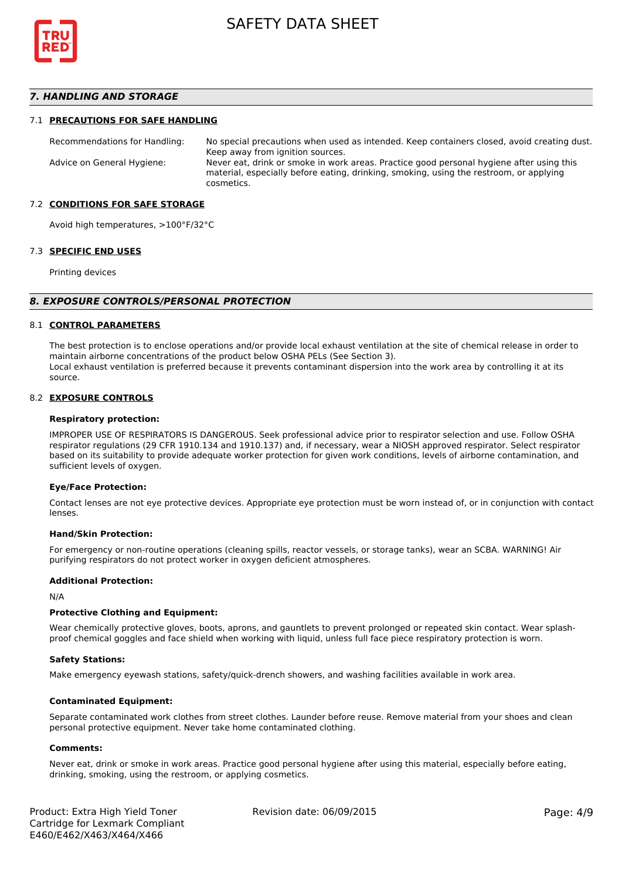

## *7. HANDLING AND STORAGE*

#### 7.1 **PRECAUTIONS FOR SAFE HANDLING**

Recommendations for Handling: No special precautions when used as intended. Keep containers closed, avoid creating dust. Keep away from ignition sources. Advice on General Hygiene: Never eat, drink or smoke in work areas. Practice good personal hygiene after using this material, especially before eating, drinking, smoking, using the restroom, or applying cosmetics.

#### 7.2 **CONDITIONS FOR SAFE STORAGE**

Avoid high temperatures, >100°F/32°C

#### 7.3 **SPECIFIC END USES**

Printing devices

#### *8. EXPOSURE CONTROLS/PERSONAL PROTECTION*

#### 8.1 **CONTROL PARAMETERS**

The best protection is to enclose operations and/or provide local exhaust ventilation at the site of chemical release in order to maintain airborne concentrations of the product below OSHA PELs (See Section 3). Local exhaust ventilation is preferred because it prevents contaminant dispersion into the work area by controlling it at its source.

#### 8.2 **EXPOSURE CONTROLS**

#### **Respiratory protection:**

IMPROPER USE OF RESPIRATORS IS DANGEROUS. Seek professional advice prior to respirator selection and use. Follow OSHA respirator regulations (29 CFR 1910.134 and 1910.137) and, if necessary, wear a NIOSH approved respirator. Select respirator based on its suitability to provide adequate worker protection for given work conditions, levels of airborne contamination, and sufficient levels of oxygen.

#### **Eye/Face Protection:**

Contact lenses are not eye protective devices. Appropriate eye protection must be worn instead of, or in conjunction with contact lenses.

#### **Hand/Skin Protection:**

For emergency or non-routine operations (cleaning spills, reactor vessels, or storage tanks), wear an SCBA. WARNING! Air purifying respirators do not protect worker in oxygen deficient atmospheres.

#### **Additional Protection:**

N/A

#### **Protective Clothing and Equipment:**

Wear chemically protective gloves, boots, aprons, and gauntlets to prevent prolonged or repeated skin contact. Wear splashproof chemical goggles and face shield when working with liquid, unless full face piece respiratory protection is worn.

#### **Safety Stations:**

Make emergency eyewash stations, safety/quick-drench showers, and washing facilities available in work area.

#### **Contaminated Equipment:**

Separate contaminated work clothes from street clothes. Launder before reuse. Remove material from your shoes and clean personal protective equipment. Never take home contaminated clothing.

#### **Comments:**

Never eat, drink or smoke in work areas. Practice good personal hygiene after using this material, especially before eating, drinking, smoking, using the restroom, or applying cosmetics.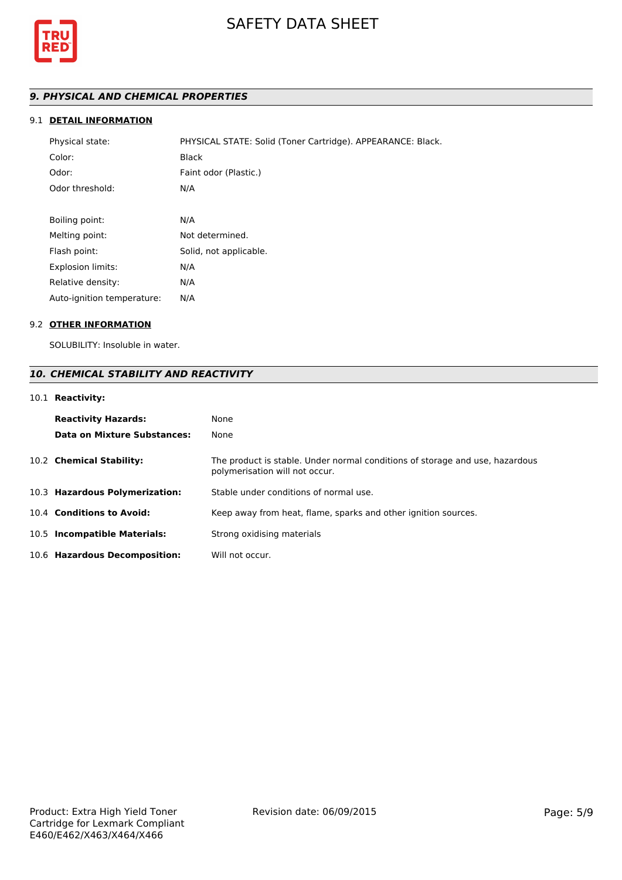

# *9. PHYSICAL AND CHEMICAL PROPERTIES*

# 9.1 **DETAIL INFORMATION**

| Physical state:            | PHYSICAL STATE: Solid (Toner Cartridge). APPEARANCE: Black. |
|----------------------------|-------------------------------------------------------------|
| Color:                     | <b>Black</b>                                                |
| Odor:                      | Faint odor (Plastic.)                                       |
| Odor threshold:            | N/A                                                         |
|                            |                                                             |
| Boiling point:             | N/A                                                         |
| Melting point:             | Not determined.                                             |
| Flash point:               | Solid, not applicable.                                      |
| <b>Explosion limits:</b>   | N/A                                                         |
| Relative density:          | N/A                                                         |
| Auto-ignition temperature: | N/A                                                         |

# 9.2 **OTHER INFORMATION**

SOLUBILITY: Insoluble in water.

# *10. CHEMICAL STABILITY AND REACTIVITY*

# 10.1 **Reactivity:**

| <b>Reactivity Hazards:</b><br>Data on Mixture Substances: | None<br>None                                                                                                   |
|-----------------------------------------------------------|----------------------------------------------------------------------------------------------------------------|
| 10.2 Chemical Stability:                                  | The product is stable. Under normal conditions of storage and use, hazardous<br>polymerisation will not occur. |
| 10.3 Hazardous Polymerization:                            | Stable under conditions of normal use.                                                                         |
| 10.4 Conditions to Avoid:                                 | Keep away from heat, flame, sparks and other ignition sources.                                                 |
| 10.5 Incompatible Materials:                              | Strong oxidising materials                                                                                     |
| 10.6 Hazardous Decomposition:                             | Will not occur.                                                                                                |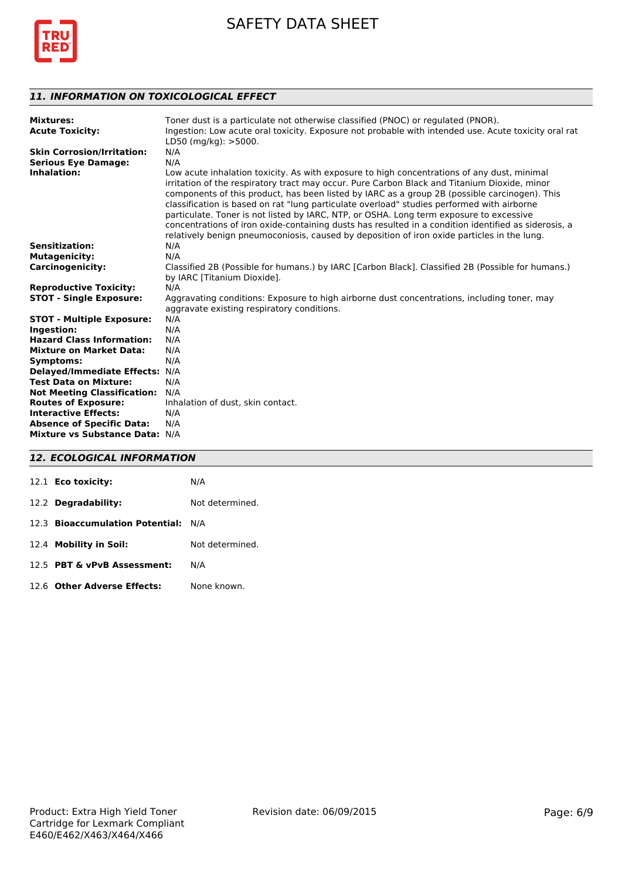

# *11. INFORMATION ON TOXICOLOGICAL EFFECT*

| <b>Mixtures:</b><br><b>Acute Toxicity:</b> | Toner dust is a particulate not otherwise classified (PNOC) or regulated (PNOR).<br>Ingestion: Low acute oral toxicity. Exposure not probable with intended use. Acute toxicity oral rat<br>LD50 (mg/kg): $>$ 5000.                                                                                                                                                                                                                                                                                                                                                                                                                                                                          |
|--------------------------------------------|----------------------------------------------------------------------------------------------------------------------------------------------------------------------------------------------------------------------------------------------------------------------------------------------------------------------------------------------------------------------------------------------------------------------------------------------------------------------------------------------------------------------------------------------------------------------------------------------------------------------------------------------------------------------------------------------|
| <b>Skin Corrosion/Irritation:</b>          | N/A                                                                                                                                                                                                                                                                                                                                                                                                                                                                                                                                                                                                                                                                                          |
| <b>Serious Eye Damage:</b>                 | N/A                                                                                                                                                                                                                                                                                                                                                                                                                                                                                                                                                                                                                                                                                          |
| Inhalation:                                | Low acute inhalation toxicity. As with exposure to high concentrations of any dust, minimal<br>irritation of the respiratory tract may occur. Pure Carbon Black and Titanium Dioxide, minor<br>components of this product, has been listed by IARC as a group 2B (possible carcinogen). This<br>classification is based on rat "lung particulate overload" studies performed with airborne<br>particulate. Toner is not listed by IARC, NTP, or OSHA. Long term exposure to excessive<br>concentrations of iron oxide-containing dusts has resulted in a condition identified as siderosis, a<br>relatively benign pneumoconiosis, caused by deposition of iron oxide particles in the lung. |
| <b>Sensitization:</b>                      | N/A                                                                                                                                                                                                                                                                                                                                                                                                                                                                                                                                                                                                                                                                                          |
| <b>Mutagenicity:</b>                       | N/A                                                                                                                                                                                                                                                                                                                                                                                                                                                                                                                                                                                                                                                                                          |
| <b>Carcinogenicity:</b>                    | Classified 2B (Possible for humans.) by IARC [Carbon Black]. Classified 2B (Possible for humans.)<br>by IARC [Titanium Dioxide].                                                                                                                                                                                                                                                                                                                                                                                                                                                                                                                                                             |
| <b>Reproductive Toxicity:</b>              | N/A                                                                                                                                                                                                                                                                                                                                                                                                                                                                                                                                                                                                                                                                                          |
| <b>STOT - Single Exposure:</b>             | Aggravating conditions: Exposure to high airborne dust concentrations, including toner, may                                                                                                                                                                                                                                                                                                                                                                                                                                                                                                                                                                                                  |
|                                            | aggravate existing respiratory conditions.                                                                                                                                                                                                                                                                                                                                                                                                                                                                                                                                                                                                                                                   |
| <b>STOT - Multiple Exposure:</b>           | N/A                                                                                                                                                                                                                                                                                                                                                                                                                                                                                                                                                                                                                                                                                          |
| Ingestion:                                 | N/A                                                                                                                                                                                                                                                                                                                                                                                                                                                                                                                                                                                                                                                                                          |
| <b>Hazard Class Information:</b>           | N/A                                                                                                                                                                                                                                                                                                                                                                                                                                                                                                                                                                                                                                                                                          |
| <b>Mixture on Market Data:</b>             | N/A                                                                                                                                                                                                                                                                                                                                                                                                                                                                                                                                                                                                                                                                                          |
| <b>Symptoms:</b>                           | N/A                                                                                                                                                                                                                                                                                                                                                                                                                                                                                                                                                                                                                                                                                          |
| Delayed/Immediate Effects: N/A             |                                                                                                                                                                                                                                                                                                                                                                                                                                                                                                                                                                                                                                                                                              |
| <b>Test Data on Mixture:</b>               | N/A                                                                                                                                                                                                                                                                                                                                                                                                                                                                                                                                                                                                                                                                                          |
| <b>Not Meeting Classification:</b>         | N/A                                                                                                                                                                                                                                                                                                                                                                                                                                                                                                                                                                                                                                                                                          |
| <b>Routes of Exposure:</b>                 | Inhalation of dust, skin contact.                                                                                                                                                                                                                                                                                                                                                                                                                                                                                                                                                                                                                                                            |
| <b>Interactive Effects:</b>                | N/A                                                                                                                                                                                                                                                                                                                                                                                                                                                                                                                                                                                                                                                                                          |
| <b>Absence of Specific Data:</b>           | N/A                                                                                                                                                                                                                                                                                                                                                                                                                                                                                                                                                                                                                                                                                          |
| Mixture vs Substance Data: N/A             |                                                                                                                                                                                                                                                                                                                                                                                                                                                                                                                                                                                                                                                                                              |

# *12. ECOLOGICAL INFORMATION*

| 12.1 <b>Eco toxicity:</b>           | N/A             |
|-------------------------------------|-----------------|
| 12.2 Degradability:                 | Not determined. |
| 12.3 Bioaccumulation Potential: N/A |                 |
| 12.4 Mobility in Soil:              | Not determined. |
| 12.5 PBT & vPvB Assessment:         | N/A             |
| 12.6 Other Adverse Effects:         | None known      |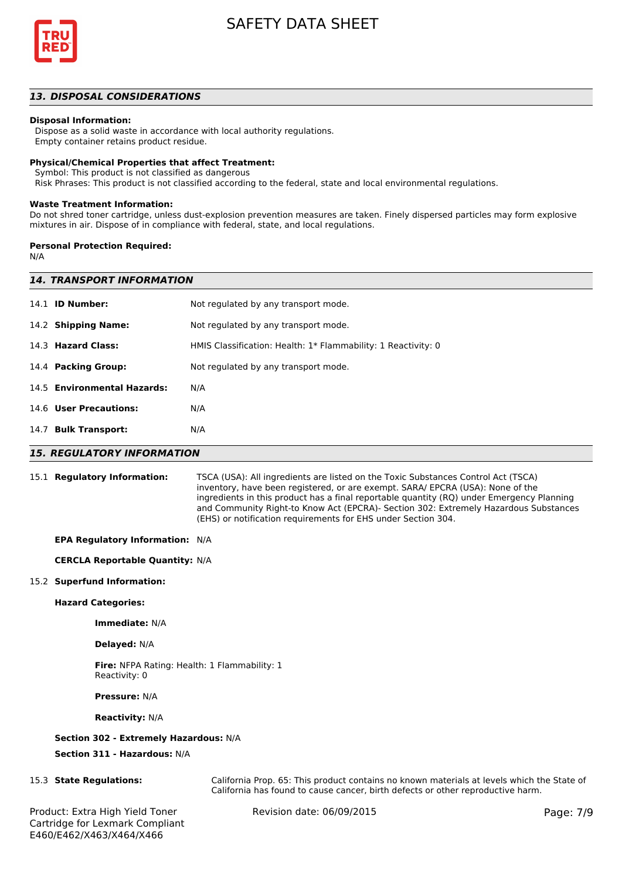

## *13. DISPOSAL CONSIDERATIONS*

#### **Disposal Information:**

 Dispose as a solid waste in accordance with local authority regulations. Empty container retains product residue.

# **Physical/Chemical Properties that affect Treatment:**

Symbol: This product is not classified as dangerous

Risk Phrases: This product is not classified according to the federal, state and local environmental regulations.

#### **Waste Treatment Information:**

Do not shred toner cartridge, unless dust-explosion prevention measures are taken. Finely dispersed particles may form explosive mixtures in air. Dispose of in compliance with federal, state, and local regulations.

#### **Personal Protection Required:**

N/A

| <b>14. TRANSPORT INFORMATION</b> |                                                               |  |  |
|----------------------------------|---------------------------------------------------------------|--|--|
| 14.1 <b>ID Number:</b>           | Not regulated by any transport mode.                          |  |  |
| 14.2 Shipping Name:              | Not regulated by any transport mode.                          |  |  |
| 14.3 Hazard Class:               | HMIS Classification: Health: 1* Flammability: 1 Reactivity: 0 |  |  |
| 14.4 Packing Group:              | Not regulated by any transport mode.                          |  |  |
| 14.5 Environmental Hazards:      | N/A                                                           |  |  |
| 14.6 User Precautions:           | N/A                                                           |  |  |
| 14.7 Bulk Transport:             | N/A                                                           |  |  |
|                                  |                                                               |  |  |

#### *15. REGULATORY INFORMATION*

15.1 **Regulatory Information:** TSCA (USA): All ingredients are listed on the Toxic Substances Control Act (TSCA) inventory, have been registered, or are exempt. SARA/ EPCRA (USA): None of the ingredients in this product has a final reportable quantity (RQ) under Emergency Planning and Community Right-to Know Act (EPCRA)- Section 302: Extremely Hazardous Substances (EHS) or notification requirements for EHS under Section 304.

#### **EPA Regulatory Information:** N/A

#### **CERCLA Reportable Quantity:** N/A

#### 15.2 **Superfund Information:**

#### **Hazard Categories:**

**Immediate:** N/A

#### **Delayed:** N/A

**Fire:** NFPA Rating: Health: 1 Flammability: 1 Reactivity: 0

**Pressure:** N/A

#### **Reactivity:** N/A

## **Section 302 - Extremely Hazardous:** N/A

**Section 311 - Hazardous:** N/A

15.3 **State Regulations:** California Prop. 65: This product contains no known materials at levels which the State of California has found to cause cancer, birth defects or other reproductive harm.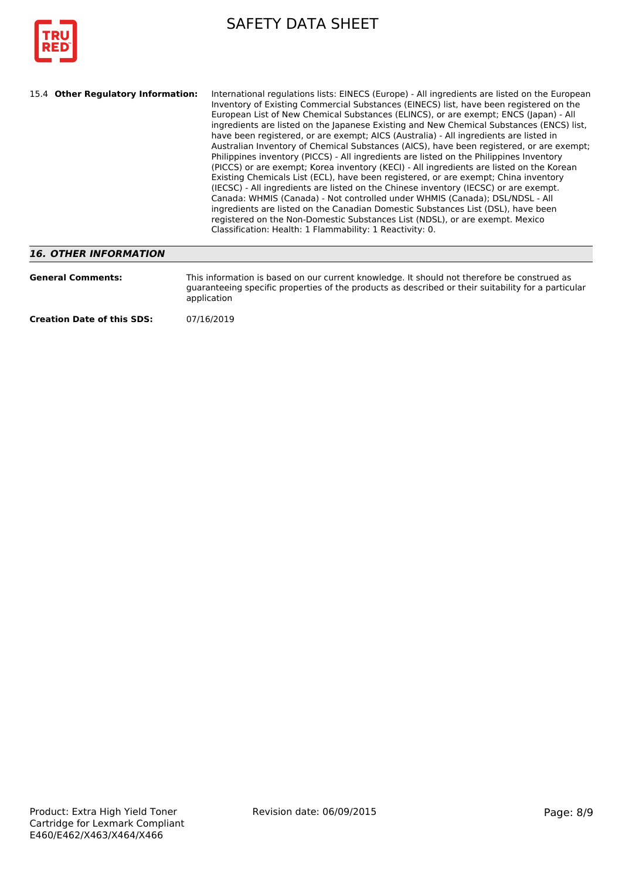

| 15.4 Other Regulatory Information:<br>International regulations lists: EINECS (Europe) - All ingredients are listed on the European<br>Inventory of Existing Commercial Substances (EINECS) list, have been registered on the<br>European List of New Chemical Substances (ELINCS), or are exempt; ENCS (Japan) - All<br>ingredients are listed on the Japanese Existing and New Chemical Substances (ENCS) list,<br>have been registered, or are exempt; AICS (Australia) - All ingredients are listed in<br>Australian Inventory of Chemical Substances (AICS), have been registered, or are exempt;<br>Philippines inventory (PICCS) - All ingredients are listed on the Philippines Inventory<br>(PICCS) or are exempt; Korea inventory (KECI) - All ingredients are listed on the Korean<br>Existing Chemicals List (ECL), have been registered, or are exempt; China inventory<br>(IECSC) - All ingredients are listed on the Chinese inventory (IECSC) or are exempt.<br>Canada: WHMIS (Canada) - Not controlled under WHMIS (Canada); DSL/NDSL - All<br>ingredients are listed on the Canadian Domestic Substances List (DSL), have been<br>registered on the Non-Domestic Substances List (NDSL), or are exempt. Mexico<br>Classification: Health: 1 Flammability: 1 Reactivity: 0. |
|----------------------------------------------------------------------------------------------------------------------------------------------------------------------------------------------------------------------------------------------------------------------------------------------------------------------------------------------------------------------------------------------------------------------------------------------------------------------------------------------------------------------------------------------------------------------------------------------------------------------------------------------------------------------------------------------------------------------------------------------------------------------------------------------------------------------------------------------------------------------------------------------------------------------------------------------------------------------------------------------------------------------------------------------------------------------------------------------------------------------------------------------------------------------------------------------------------------------------------------------------------------------------------------------|
|----------------------------------------------------------------------------------------------------------------------------------------------------------------------------------------------------------------------------------------------------------------------------------------------------------------------------------------------------------------------------------------------------------------------------------------------------------------------------------------------------------------------------------------------------------------------------------------------------------------------------------------------------------------------------------------------------------------------------------------------------------------------------------------------------------------------------------------------------------------------------------------------------------------------------------------------------------------------------------------------------------------------------------------------------------------------------------------------------------------------------------------------------------------------------------------------------------------------------------------------------------------------------------------------|

# *16. OTHER INFORMATION*

| <b>General Comments:</b>          | This information is based on our current knowledge. It should not therefore be construed as<br>quaranteeing specific properties of the products as described or their suitability for a particular<br>application |
|-----------------------------------|-------------------------------------------------------------------------------------------------------------------------------------------------------------------------------------------------------------------|
| <b>Creation Date of this SDS:</b> | 07/16/2019                                                                                                                                                                                                        |